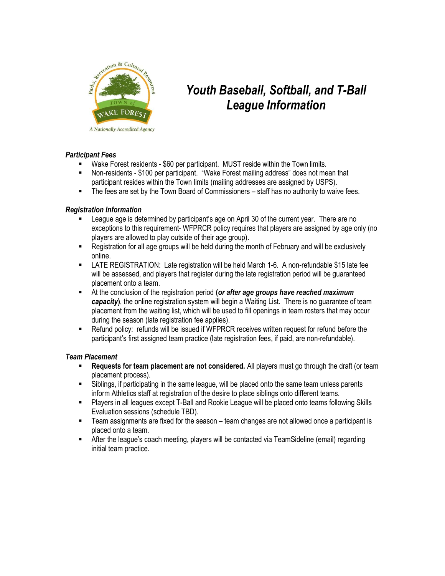

# Youth Baseball, Softball, and T-Ball League Information

# Participant Fees

- Wake Forest residents \$60 per participant. MUST reside within the Town limits.
- Non-residents \$100 per participant. "Wake Forest mailing address" does not mean that participant resides within the Town limits (mailing addresses are assigned by USPS).
- The fees are set by the Town Board of Commissioners staff has no authority to waive fees.

# Registration Information

- League age is determined by participant's age on April 30 of the current year. There are no exceptions to this requirement- WFPRCR policy requires that players are assigned by age only (no players are allowed to play outside of their age group).
- Registration for all age groups will be held during the month of February and will be exclusively online.
- LATE REGISTRATION: Late registration will be held March 1-6. A non-refundable \$15 late fee will be assessed, and players that register during the late registration period will be guaranteed placement onto a team.
- $\blacksquare$  At the conclusion of the registration period (or after age groups have reached maximum capacity), the online registration system will begin a Waiting List. There is no quarantee of team placement from the waiting list, which will be used to fill openings in team rosters that may occur during the season (late registration fee applies).
- Refund policy: refunds will be issued if WFPRCR receives written request for refund before the participant's first assigned team practice (late registration fees, if paid, are non-refundable).

#### Team Placement

- **Requests for team placement are not considered.** All players must go through the draft (or team placement process).
- Siblings, if participating in the same league, will be placed onto the same team unless parents inform Athletics staff at registration of the desire to place siblings onto different teams.
- Players in all leagues except T-Ball and Rookie League will be placed onto teams following Skills Evaluation sessions (schedule TBD).
- Team assignments are fixed for the season team changes are not allowed once a participant is placed onto a team.
- After the league's coach meeting, players will be contacted via TeamSideline (email) regarding initial team practice.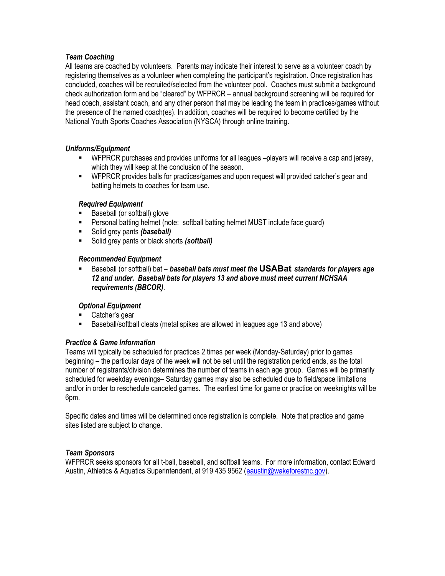# Team Coaching

All teams are coached by volunteers. Parents may indicate their interest to serve as a volunteer coach by registering themselves as a volunteer when completing the participant's registration. Once registration has concluded, coaches will be recruited/selected from the volunteer pool. Coaches must submit a background check authorization form and be "cleared" by WFPRCR – annual background screening will be required for head coach, assistant coach, and any other person that may be leading the team in practices/games without the presence of the named coach(es). In addition, coaches will be required to become certified by the National Youth Sports Coaches Association (NYSCA) through online training.

# Uniforms/Equipment

- WFPRCR purchases and provides uniforms for all leagues –players will receive a cap and jersey, which they will keep at the conclusion of the season.
- **WFPRCR** provides balls for practices/games and upon request will provided catcher's gear and batting helmets to coaches for team use.

# Required Equipment

- Baseball (or softball) glove
- **Personal batting helmet (note: softball batting helmet MUST include face guard)**
- Solid grey pants (baseball)
- Solid grey pants or black shorts (softball)

#### Recommended Equipment

Baseball (or softball) bat – baseball bats must meet the USABat standards for players age 12 and under. Baseball bats for players 13 and above must meet current NCHSAA requirements (BBCOR).

# Optional Equipment

- Catcher's gear
- Baseball/softball cleats (metal spikes are allowed in leagues age 13 and above)

#### Practice & Game Information

Teams will typically be scheduled for practices 2 times per week (Monday-Saturday) prior to games beginning – the particular days of the week will not be set until the registration period ends, as the total number of registrants/division determines the number of teams in each age group. Games will be primarily scheduled for weekday evenings– Saturday games may also be scheduled due to field/space limitations and/or in order to reschedule canceled games. The earliest time for game or practice on weeknights will be 6pm.

Specific dates and times will be determined once registration is complete. Note that practice and game sites listed are subject to change.

#### Team Sponsors

WFPRCR seeks sponsors for all t-ball, baseball, and softball teams. For more information, contact Edward Austin, Athletics & Aquatics Superintendent, at 919 435 9562 (eaustin@wakeforestnc.gov).